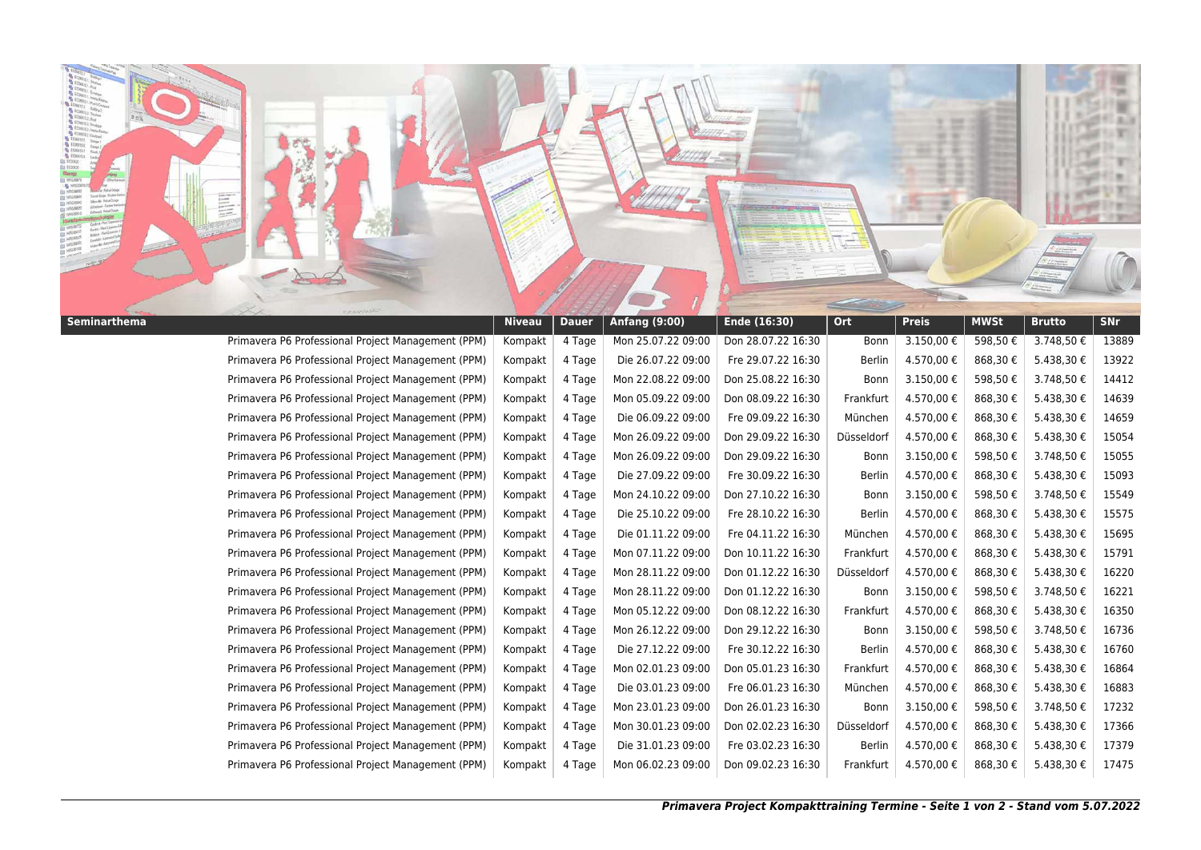

|                                                    | <u>iviveau</u> | <b>Dauci</b> | Aniuny (3.00)      | $F = \frac{10}{20}$ | $\mathbf{v}$  | <u>.</u>   | <u>.</u> | <u>prucco</u> | ш.    |
|----------------------------------------------------|----------------|--------------|--------------------|---------------------|---------------|------------|----------|---------------|-------|
| Primavera P6 Professional Project Management (PPM) | Kompakt        | 4 Tage       | Mon 25.07.22 09:00 | Don 28.07.22 16:30  | Bonn          | 3.150,00 € | 598,50€  | 3.748,50€     | 13889 |
| Primavera P6 Professional Project Management (PPM) | Kompakt        | 4 Tage       | Die 26.07.22 09:00 | Fre 29.07.22 16:30  | Berlin        | 4.570,00€  | 868,30€  | 5.438,30€     | 13922 |
| Primavera P6 Professional Project Management (PPM) | Kompakt        | 4 Tage       | Mon 22.08.22 09:00 | Don 25.08.22 16:30  | Bonn          | 3.150,00€  | 598,50€  | 3.748,50€     | 14412 |
| Primavera P6 Professional Project Management (PPM) | Kompakt        | 4 Tage       | Mon 05.09.22 09:00 | Don 08.09.22 16:30  | Frankfurt     | 4.570,00€  | 868,30€  | 5.438,30 €    | 14639 |
| Primavera P6 Professional Project Management (PPM) | Kompakt        | 4 Tage       | Die 06.09.22 09:00 | Fre 09.09.22 16:30  | München       | 4.570,00 € | 868,30€  | 5.438,30 €    | 14659 |
| Primavera P6 Professional Project Management (PPM) | Kompakt        | 4 Tage       | Mon 26.09.22 09:00 | Don 29.09.22 16:30  | Düsseldorf    | 4.570,00€  | 868,30€  | 5.438,30€     | 15054 |
| Primavera P6 Professional Project Management (PPM) | Kompakt        | 4 Tage       | Mon 26.09.22 09:00 | Don 29.09.22 16:30  | Bonn          | 3.150,00€  | 598,50€  | 3.748,50€     | 15055 |
| Primavera P6 Professional Project Management (PPM) | Kompakt        | 4 Tage       | Die 27.09.22 09:00 | Fre 30.09.22 16:30  | Berlin        | 4.570,00€  | 868,30€  | 5.438,30€     | 15093 |
| Primavera P6 Professional Project Management (PPM) | Kompakt        | 4 Tage       | Mon 24.10.22 09:00 | Don 27.10.22 16:30  | Bonn          | 3.150,00€  | 598,50€  | 3.748,50€     | 15549 |
| Primavera P6 Professional Project Management (PPM) | Kompakt        | 4 Tage       | Die 25.10.22 09:00 | Fre 28.10.22 16:30  | <b>Berlin</b> | 4.570,00€  | 868,30€  | 5.438,30 €    | 15575 |
| Primavera P6 Professional Project Management (PPM) | Kompakt        | 4 Tage       | Die 01.11.22 09:00 | Fre 04.11.22 16:30  | München       | 4.570,00 € | 868,30€  | 5.438,30 €    | 15695 |
| Primavera P6 Professional Project Management (PPM) | Kompakt        | 4 Tage       | Mon 07.11.22 09:00 | Don 10.11.22 16:30  | Frankfurt     | 4.570,00€  | 868,30€  | 5.438,30€     | 15791 |
| Primavera P6 Professional Project Management (PPM) | Kompakt        | 4 Tage       | Mon 28.11.22 09:00 | Don 01.12.22 16:30  | Düsseldorf    | 4.570,00€  | 868,30€  | 5.438,30€     | 16220 |
| Primavera P6 Professional Project Management (PPM) | Kompakt        | 4 Tage       | Mon 28.11.22 09:00 | Don 01.12.22 16:30  | Bonn          | 3.150,00€  | 598,50€  | 3.748,50 €    | 16221 |
| Primavera P6 Professional Project Management (PPM) | Kompakt        | 4 Tage       | Mon 05.12.22 09:00 | Don 08.12.22 16:30  | Frankfurt     | 4.570,00€  | 868,30€  | 5.438,30 €    | 16350 |
| Primavera P6 Professional Project Management (PPM) | Kompakt        | 4 Tage       | Mon 26.12.22 09:00 | Don 29.12.22 16:30  | Bonn          | 3.150,00€  | 598,50€  | 3.748,50€     | 16736 |
| Primavera P6 Professional Project Management (PPM) | Kompakt        | 4 Tage       | Die 27.12.22 09:00 | Fre 30.12.22 16:30  | <b>Berlin</b> | 4.570,00€  | 868,30€  | 5.438,30€     | 16760 |
| Primavera P6 Professional Project Management (PPM) | Kompakt        | 4 Tage       | Mon 02.01.23 09:00 | Don 05.01.23 16:30  | Frankfurt     | 4.570,00€  | 868,30€  | 5.438,30€     | 16864 |
| Primavera P6 Professional Project Management (PPM) | Kompakt        | 4 Tage       | Die 03.01.23 09:00 | Fre 06.01.23 16:30  | München       | 4.570,00€  | 868,30€  | 5.438,30€     | 16883 |
| Primavera P6 Professional Project Management (PPM) | Kompakt        | 4 Tage       | Mon 23.01.23 09:00 | Don 26.01.23 16:30  | Bonn          | 3.150,00€  | 598,50€  | 3.748,50€     | 17232 |
| Primavera P6 Professional Project Management (PPM) | Kompakt        | 4 Tage       | Mon 30.01.23 09:00 | Don 02.02.23 16:30  | Düsseldorf    | 4.570,00€  | 868,30€  | 5.438,30 €    | 17366 |
| Primavera P6 Professional Project Management (PPM) | Kompakt        | 4 Tage       | Die 31.01.23 09:00 | Fre 03.02.23 16:30  | Berlin        | 4.570,00 € | 868,30€  | 5.438,30 €    | 17379 |
| Primavera P6 Professional Project Management (PPM) | Kompakt        | 4 Tage       | Mon 06.02.23 09:00 | Don 09.02.23 16:30  | Frankfurt     | 4.570,00 € | 868,30€  | 5.438,30€     | 17475 |
|                                                    |                |              |                    |                     |               |            |          |               |       |